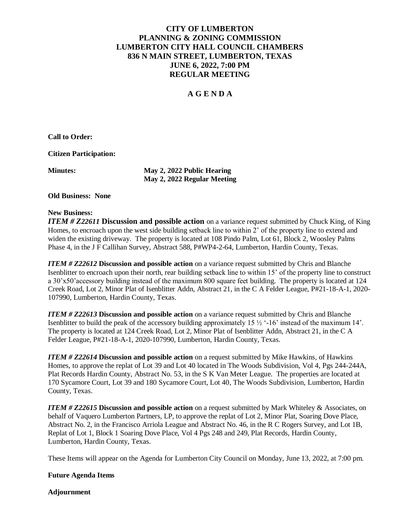## **CITY OF LUMBERTON PLANNING & ZONING COMMISSION LUMBERTON CITY HALL COUNCIL CHAMBERS 836 N MAIN STREET, LUMBERTON, TEXAS JUNE 6, 2022, 7:00 PM REGULAR MEETING**

## **A G E N D A**

**Call to Order:**

**Citizen Participation:**

**Minutes: May 2, 2022 Public Hearing May 2, 2022 Regular Meeting**

**Old Business: None**

## **New Business:**

*ITEM # Z22611* **Discussion and possible action** on a variance request submitted by Chuck King, of King Homes, to encroach upon the west side building setback line to within 2' of the property line to extend and widen the existing driveway. The property is located at 108 Pindo Palm, Lot 61, Block 2, Woosley Palms Phase 4, in the J F Callihan Survey, Abstract 588, P#WP4-2-64, Lumberton, Hardin County, Texas.

*ITEM # Z22612* **Discussion and possible action** on a variance request submitted by Chris and Blanche Isenblitter to encroach upon their north, rear building setback line to within 15' of the property line to construct a 30'x50'accessory building instead of the maximum 800 square feet building. The property is located at 124 Creek Road, Lot 2, Minor Plat of Isenblitter Addn, Abstract 21, in the C A Felder League, P#21-18-A-1, 2020- 107990, Lumberton, Hardin County, Texas.

*ITEM # Z22613* **Discussion and possible action** on a variance request submitted by Chris and Blanche Isenblitter to build the peak of the accessory building approximately 15  $\frac{1}{2}$  '-16' instead of the maximum 14'. The property is located at 124 Creek Road, Lot 2, Minor Plat of Isenblitter Addn, Abstract 21, in the C A Felder League, P#21-18-A-1, 2020-107990, Lumberton, Hardin County, Texas.

*ITEM # Z22614* **Discussion and possible action** on a request submitted by Mike Hawkins, of Hawkins Homes, to approve the replat of Lot 39 and Lot 40 located in The Woods Subdivision, Vol 4, Pgs 244-244A, Plat Records Hardin County, Abstract No. 53, in the S K Van Meter League. The properties are located at 170 Sycamore Court, Lot 39 and 180 Sycamore Court, Lot 40, The Woods Subdivision, Lumberton, Hardin County, Texas.

*ITEM # Z22615* **Discussion and possible action** on a request submitted by Mark Whiteley & Associates, on behalf of Vaquero Lumberton Partners, LP, to approve the replat of Lot 2, Minor Plat, Soaring Dove Place, Abstract No. 2, in the Francisco Arriola League and Abstract No. 46, in the R C Rogers Survey, and Lot 1B, Replat of Lot 1, Block 1 Soaring Dove Place, Vol 4 Pgs 248 and 249, Plat Records, Hardin County, Lumberton, Hardin County, Texas.

These Items will appear on the Agenda for Lumberton City Council on Monday, June 13, 2022, at 7:00 pm.

## **Future Agenda Items**

**Adjournment**